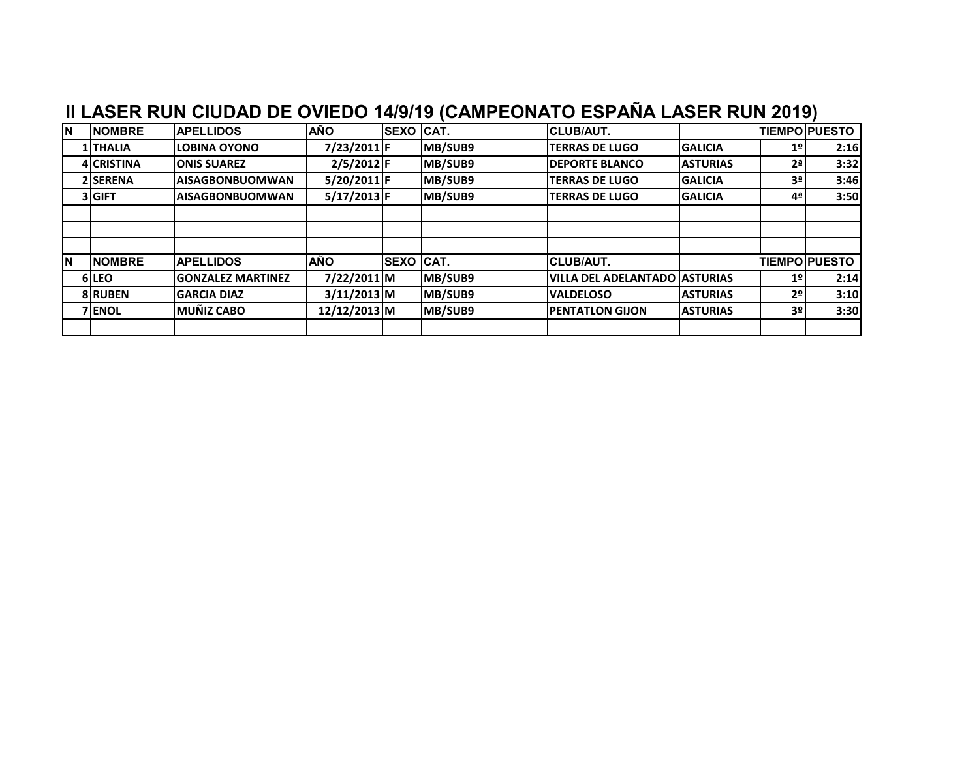| İΝ | <b>NOMBRE</b>     | <b>APELLIDOS</b>         | <b>AÑO</b>    | <b>SEXO CAT.</b> |         | <b>CLUB/AUT.</b>                     |                 |                | <b>TIEMPO PUESTO</b> |
|----|-------------------|--------------------------|---------------|------------------|---------|--------------------------------------|-----------------|----------------|----------------------|
|    | <b>1 THALIA</b>   | <b>ILOBINA OYONO</b>     | 7/23/2011 F   |                  | MB/SUB9 | <b>TERRAS DE LUGO</b>                | <b>GALICIA</b>  | 1 <sup>°</sup> | 2:16                 |
|    | <b>4 CRISTINA</b> | <b>ONIS SUAREZ</b>       | $2/5/2012$ F  |                  | MB/SUB9 | <b>DEPORTE BLANCO</b>                | <b>ASTURIAS</b> | 2 <sup>a</sup> | 3:32                 |
|    | 2 SERENA          | <b>AISAGBONBUOMWAN</b>   | $5/20/2011$ F |                  | MB/SUB9 | <b>TERRAS DE LUGO</b>                | <b>GALICIA</b>  | 3ª             | 3:46                 |
|    | 3 GIFT            | <b>IAISAGBONBUOMWAN</b>  | $5/17/2013$ F |                  | MB/SUB9 | <b>TERRAS DE LUGO</b>                | <b>GALICIA</b>  | 4 <sup>a</sup> | 3:50                 |
|    |                   |                          |               |                  |         |                                      |                 |                |                      |
|    |                   |                          |               |                  |         |                                      |                 |                |                      |
|    |                   |                          |               |                  |         |                                      |                 |                |                      |
| İΝ | <b>NOMBRE</b>     | <b>APELLIDOS</b>         | <b>AÑO</b>    | <b>SEXO CAT.</b> |         | <b>CLUB/AUT.</b>                     |                 |                | <b>TIEMPOIPUESTO</b> |
|    | 6 LEO             | <b>GONZALEZ MARTINEZ</b> | 7/22/2011 M   |                  | MB/SUB9 | <b>VILLA DEL ADELANTADO ASTURIAS</b> |                 | 1 <sup>°</sup> | 2:14                 |
|    | <b>8 RUBEN</b>    | <b>GARCIA DIAZ</b>       | $3/11/2013$ M |                  | MB/SUB9 | <b>VALDELOSO</b>                     | <b>ASTURIAS</b> | 2 <sup>o</sup> | 3:10                 |
|    | <b>7 ENOL</b>     | <b>MUÑIZ CABO</b>        | 12/12/2013 M  |                  | MB/SUB9 | <b>IPENTATLON GIJON</b>              | <b>ASTURIAS</b> | 3º             | 3:30                 |
|    |                   |                          |               |                  |         |                                      |                 |                |                      |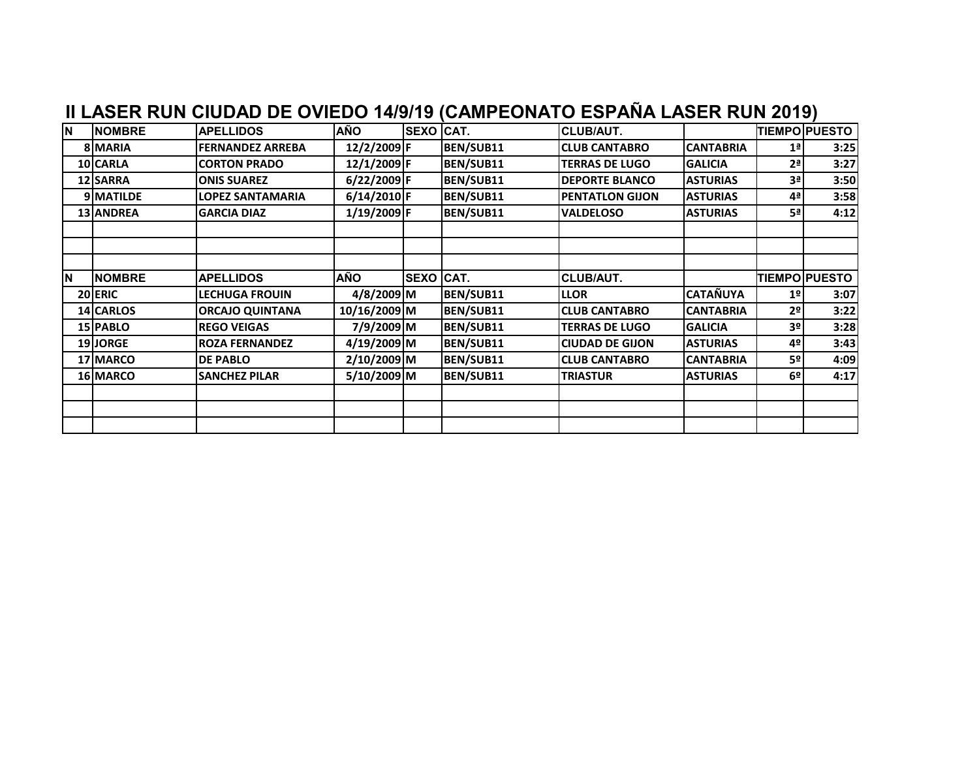| İN.      | <b>NOMBRE</b> | <b>APELLIDOS</b>        | <b>AÑO</b>    | <b>SEXO CAT.</b> |           | <b>CLUB/AUT.</b>       |                  |                | <b>TIEMPO PUESTO</b> |
|----------|---------------|-------------------------|---------------|------------------|-----------|------------------------|------------------|----------------|----------------------|
|          | 8 MARIA       | <b>FERNANDEZ ARREBA</b> | 12/2/2009 F   |                  | BEN/SUB11 | <b>CLUB CANTABRO</b>   | <b>CANTABRIA</b> | 1 <sup>a</sup> | 3:25                 |
|          | 10 CARLA      | <b>CORTON PRADO</b>     | 12/1/2009 F   |                  | BEN/SUB11 | <b>TERRAS DE LUGO</b>  | <b>GALICIA</b>   | 2 <sup>a</sup> | 3:27                 |
|          | 12 SARRA      | <b>ONIS SUAREZ</b>      | 6/22/2009 F   |                  | BEN/SUB11 | <b>DEPORTE BLANCO</b>  | <b>ASTURIAS</b>  | 3ª             | 3:50                 |
|          | 9 MATILDE     | LOPEZ SANTAMARIA        | $6/14/2010$ F |                  | BEN/SUB11 | <b>PENTATLON GIJON</b> | <b>ASTURIAS</b>  | 4ª             | 3:58                 |
|          | 13 ANDREA     | <b>GARCIA DIAZ</b>      | 1/19/2009 F   |                  | BEN/SUB11 | <b>VALDELOSO</b>       | <b>ASTURIAS</b>  | 5ª             | 4:12                 |
|          |               |                         |               |                  |           |                        |                  |                |                      |
|          |               |                         |               |                  |           |                        |                  |                |                      |
|          |               |                         |               |                  |           |                        |                  |                |                      |
| <b>N</b> | <b>NOMBRE</b> | <b>APELLIDOS</b>        | <b>AÑO</b>    | <b>SEXO CAT.</b> |           | <b>CLUB/AUT.</b>       |                  |                | <b>TIEMPO PUESTO</b> |
|          | 20 ERIC       | <b>LECHUGA FROUIN</b>   | 4/8/2009 M    |                  | BEN/SUB11 | <b>LLOR</b>            | <b>CATAÑUYA</b>  | 1 <sup>°</sup> | 3:07                 |
|          | 14 CARLOS     | <b>ORCAJO QUINTANA</b>  | 10/16/2009 M  |                  | BEN/SUB11 | <b>CLUB CANTABRO</b>   | <b>CANTABRIA</b> | 2º             | 3:22                 |
|          | 15 PABLO      | <b>REGO VEIGAS</b>      | 7/9/2009 M    |                  | BEN/SUB11 | <b>TERRAS DE LUGO</b>  | <b>GALICIA</b>   | 3 <sup>o</sup> | 3:28                 |
|          | 19JORGE       | <b>ROZA FERNANDEZ</b>   | 4/19/2009 M   |                  | BEN/SUB11 | <b>CIUDAD DE GIJON</b> | <b>ASTURIAS</b>  | 4º             | 3:43                 |
|          | 17 MARCO      | <b>DE PABLO</b>         | 2/10/2009M    |                  | BEN/SUB11 | <b>CLUB CANTABRO</b>   | <b>CANTABRIA</b> | 5º             | 4:09                 |
|          | 16 MARCO      | <b>SANCHEZ PILAR</b>    | 5/10/2009M    |                  | BEN/SUB11 | <b>TRIASTUR</b>        | <b>ASTURIAS</b>  | 6º             | 4:17                 |
|          |               |                         |               |                  |           |                        |                  |                |                      |
|          |               |                         |               |                  |           |                        |                  |                |                      |
|          |               |                         |               |                  |           |                        |                  |                |                      |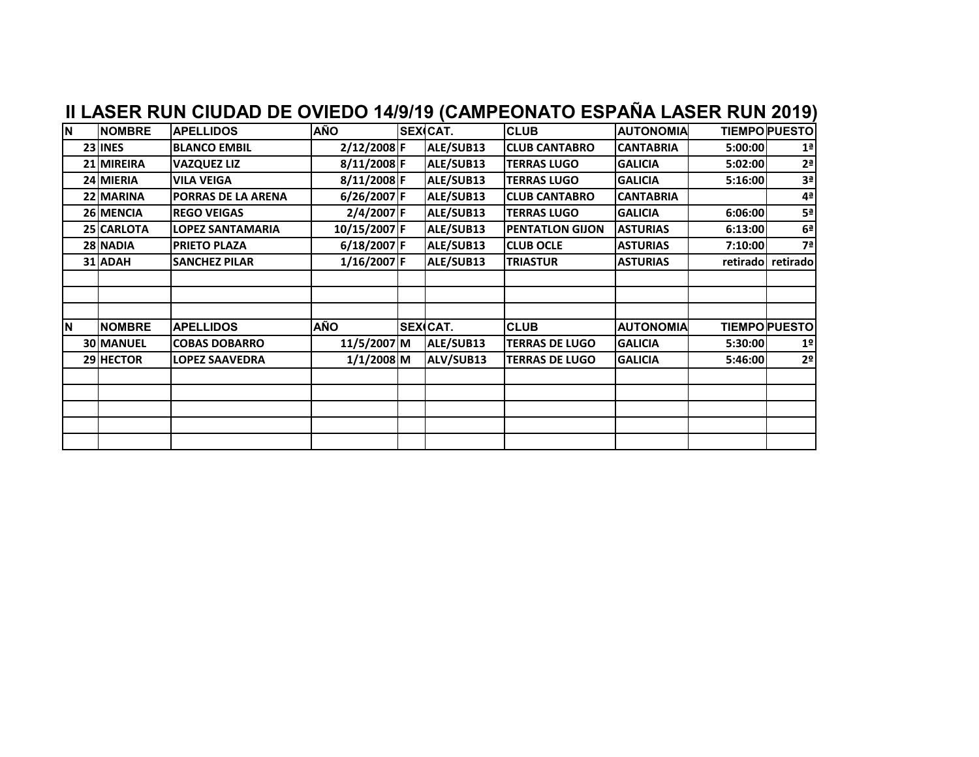|     |                  | II LASER RUN CIUDAD DE OVIEDO 14/9/19 (CAMPEONATO ESPAÑA LASER RUN 2019) |              |                 |                        |                  |         |                      |
|-----|------------------|--------------------------------------------------------------------------|--------------|-----------------|------------------------|------------------|---------|----------------------|
| İΝ. | <b>NOMBRE</b>    | <b>APELLIDOS</b>                                                         | <b>AÑO</b>   | <b>SEX</b> CAT. | <b>CLUB</b>            | <b>AUTONOMIA</b> |         | <b>TIEMPOPUESTO</b>  |
|     | 23 INES          | <b>BLANCO EMBIL</b>                                                      | 2/12/2008 F  | ALE/SUB13       | <b>CLUB CANTABRO</b>   | <b>CANTABRIA</b> | 5:00:00 | 1 <sup>a</sup>       |
|     | 21 MIREIRA       | <b>VAZQUEZ LIZ</b>                                                       | 8/11/2008 F  | ALE/SUB13       | <b>TERRAS LUGO</b>     | <b>GALICIA</b>   | 5:02:00 | 2 <sup>a</sup>       |
|     | 24 MIERIA        | <b>VILA VEIGA</b>                                                        | 8/11/2008 F  | ALE/SUB13       | <b>TERRAS LUGO</b>     | <b>GALICIA</b>   | 5:16:00 | 3 <sup>a</sup>       |
|     | 22 MARINA        | PORRAS DE LA ARENA                                                       | 6/26/2007 F  | ALE/SUB13       | <b>CLUB CANTABRO</b>   | <b>CANTABRIA</b> |         | 4ª                   |
|     | 26 MENCIA        | <b>REGO VEIGAS</b>                                                       | 2/4/2007 F   | ALE/SUB13       | <b>TERRAS LUGO</b>     | <b>GALICIA</b>   | 6:06:00 | 5ª                   |
|     | 25 CARLOTA       | <b>LOPEZ SANTAMARIA</b>                                                  | 10/15/2007 F | ALE/SUB13       | <b>PENTATLON GIJON</b> | <b>ASTURIAS</b>  | 6:13:00 | 6 <sup>a</sup>       |
|     | 28 NADIA         | <b>PRIETO PLAZA</b>                                                      | 6/18/2007 F  | ALE/SUB13       | <b>CLUB OCLE</b>       | <b>ASTURIAS</b>  | 7:10:00 | 7 <sup>a</sup>       |
|     | 31 ADAH          | <b>SANCHEZ PILAR</b>                                                     | 1/16/2007 F  | ALE/SUB13       | <b>TRIASTUR</b>        | <b>ASTURIAS</b>  |         | retirado retirado    |
|     |                  |                                                                          |              |                 |                        |                  |         |                      |
|     |                  |                                                                          |              |                 |                        |                  |         |                      |
|     |                  |                                                                          |              |                 |                        |                  |         |                      |
| İΝ  | <b>NOMBRE</b>    | <b>APELLIDOS</b>                                                         | <b>AÑO</b>   | <b>SEX</b> CAT. | <b>CLUB</b>            | <b>AUTONOMIA</b> |         | <b>TIEMPO PUESTO</b> |
|     | <b>30 MANUEL</b> | <b>COBAS DOBARRO</b>                                                     | 11/5/2007 M  | ALE/SUB13       | <b>TERRAS DE LUGO</b>  | <b>GALICIA</b>   | 5:30:00 | 1 <sup>°</sup>       |
|     | 29 HECTOR        | <b>LOPEZ SAAVEDRA</b>                                                    | $1/1/2008$ M | ALV/SUB13       | <b>TERRAS DE LUGO</b>  | <b>GALICIA</b>   | 5:46:00 | 2 <sup>o</sup>       |
|     |                  |                                                                          |              |                 |                        |                  |         |                      |
|     |                  |                                                                          |              |                 |                        |                  |         |                      |
|     |                  |                                                                          |              |                 |                        |                  |         |                      |
|     |                  |                                                                          |              |                 |                        |                  |         |                      |
|     |                  |                                                                          |              |                 |                        |                  |         |                      |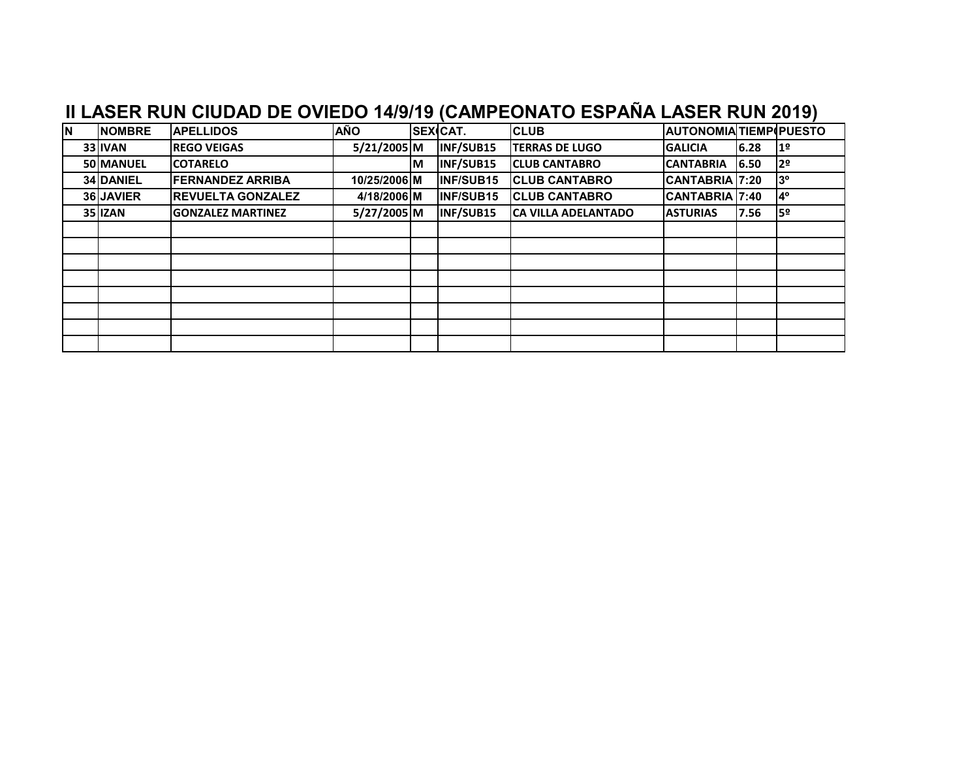| <b>N</b> | <b>NOMBRE</b> | <b>APELLIDOS</b>         | <b>AÑO</b>   |    | <b>SEXCAT.</b> | <b>CLUB</b>            | <b>AUTONOMIA TIEMP PUESTO</b> |      |                |
|----------|---------------|--------------------------|--------------|----|----------------|------------------------|-------------------------------|------|----------------|
|          | 33 IVAN       | <b>REGO VEIGAS</b>       | 5/21/2005 M  |    | INF/SUB15      | <b>ITERRAS DE LUGO</b> | <b>GALICIA</b>                | 6.28 | 1 <sup>o</sup> |
|          | 50 MANUEL     | <b>ICOTARELO</b>         |              | IМ | INF/SUB15      | <b>CLUB CANTABRO</b>   | <b>CANTABRIA</b>              | 6.50 | 12º            |
|          | 34 DANIEL     | <b>FERNANDEZ ARRIBA</b>  | 10/25/2006 M |    | INF/SUB15      | <b>CLUB CANTABRO</b>   | CANTABRIA 7:20                |      | l3º            |
|          | 36 JAVIER     | <b>REVUELTA GONZALEZ</b> | 4/18/2006 M  |    | INF/SUB15      | <b>CLUB CANTABRO</b>   | CANTABRIA 7:40                |      | $4^{\circ}$    |
|          | 35 IZAN       | <b>GONZALEZ MARTINEZ</b> | 5/27/2005 M  |    | INF/SUB15      | ICA VILLA ADELANTADO   | <b>ASTURIAS</b>               | 7.56 | 9≥ا            |
|          |               |                          |              |    |                |                        |                               |      |                |
|          |               |                          |              |    |                |                        |                               |      |                |
|          |               |                          |              |    |                |                        |                               |      |                |
|          |               |                          |              |    |                |                        |                               |      |                |
|          |               |                          |              |    |                |                        |                               |      |                |
|          |               |                          |              |    |                |                        |                               |      |                |
|          |               |                          |              |    |                |                        |                               |      |                |
|          |               |                          |              |    |                |                        |                               |      |                |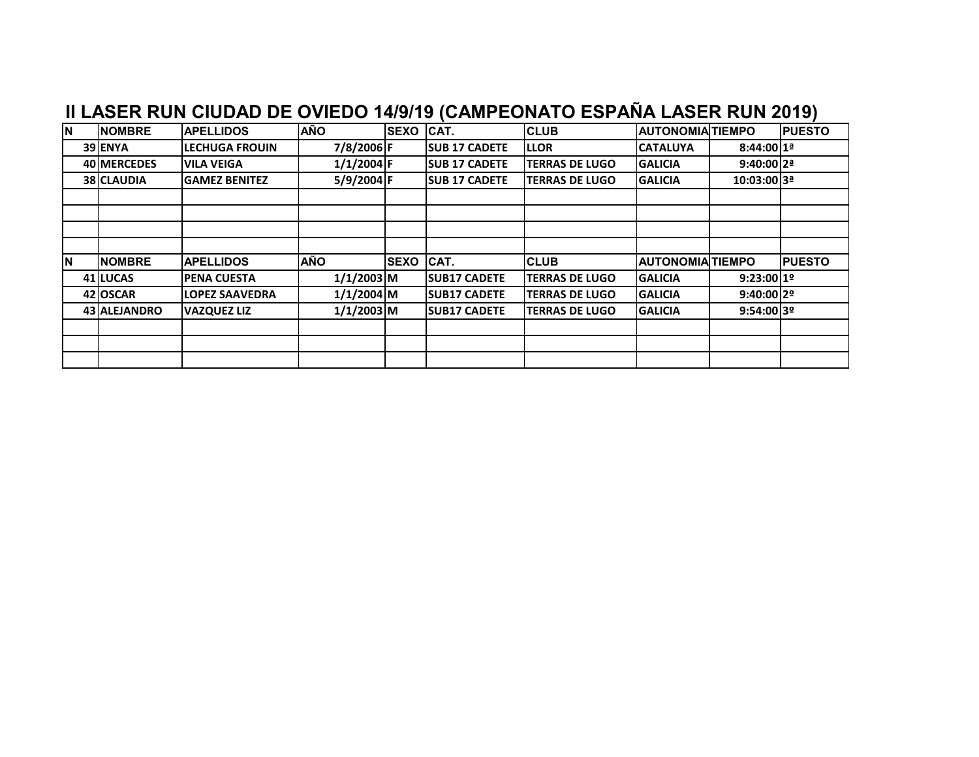| <b>N</b> | <b>NOMBRE</b> | <b>APELLIDOS</b>      | <b>AÑO</b>   | <b>SEXO</b> | CAT.                 | <b>CLUB</b>           | <b>AUTONOMIA TIEMPO</b> |               | <b>PUESTO</b> |
|----------|---------------|-----------------------|--------------|-------------|----------------------|-----------------------|-------------------------|---------------|---------------|
|          | 39 ENYA       | <b>LECHUGA FROUIN</b> | 7/8/2006 F   |             | <b>SUB 17 CADETE</b> | <b>LLOR</b>           | <b>CATALUYA</b>         | $8:44:0011^a$ |               |
|          | 40 MERCEDES   | <b>VILA VEIGA</b>     | $1/1/2004$ F |             | <b>SUB 17 CADETE</b> | <b>TERRAS DE LUGO</b> | <b>GALICIA</b>          | $9:40:00$  2ª |               |
|          | 38 CLAUDIA    | <b>GAMEZ BENITEZ</b>  | 5/9/2004 F   |             | <b>SUB 17 CADETE</b> | <b>TERRAS DE LUGO</b> | <b>GALICIA</b>          | 10:03:00 3ª   |               |
|          |               |                       |              |             |                      |                       |                         |               |               |
|          |               |                       |              |             |                      |                       |                         |               |               |
|          |               |                       |              |             |                      |                       |                         |               |               |
|          |               |                       |              |             |                      |                       |                         |               |               |
| <b>N</b> | <b>NOMBRE</b> | <b>APELLIDOS</b>      | <b>AÑO</b>   | <b>SEXO</b> | ICAT.                | <b>CLUB</b>           | <b>AUTONOMIAITIEMPO</b> |               | <b>PUESTO</b> |
|          | 41 LUCAS      | <b>PENA CUESTA</b>    | $1/1/2003$ M |             | <b>SUB17 CADETE</b>  | <b>TERRAS DE LUGO</b> | <b>GALICIA</b>          | 9:23:00119    |               |
|          | 42 OSCAR      | <b>LOPEZ SAAVEDRA</b> | $1/1/2004$ M |             | <b>SUB17 CADETE</b>  | <b>TERRAS DE LUGO</b> | <b>GALICIA</b>          | $9:40:00$  2º |               |
|          | 43 ALEJANDRO  | <b>VAZQUEZ LIZ</b>    | $1/1/2003$ M |             | <b>SUB17 CADETE</b>  | <b>TERRAS DE LUGO</b> | <b>GALICIA</b>          | 9:54:00139    |               |
|          |               |                       |              |             |                      |                       |                         |               |               |
|          |               |                       |              |             |                      |                       |                         |               |               |
|          |               |                       |              |             |                      |                       |                         |               |               |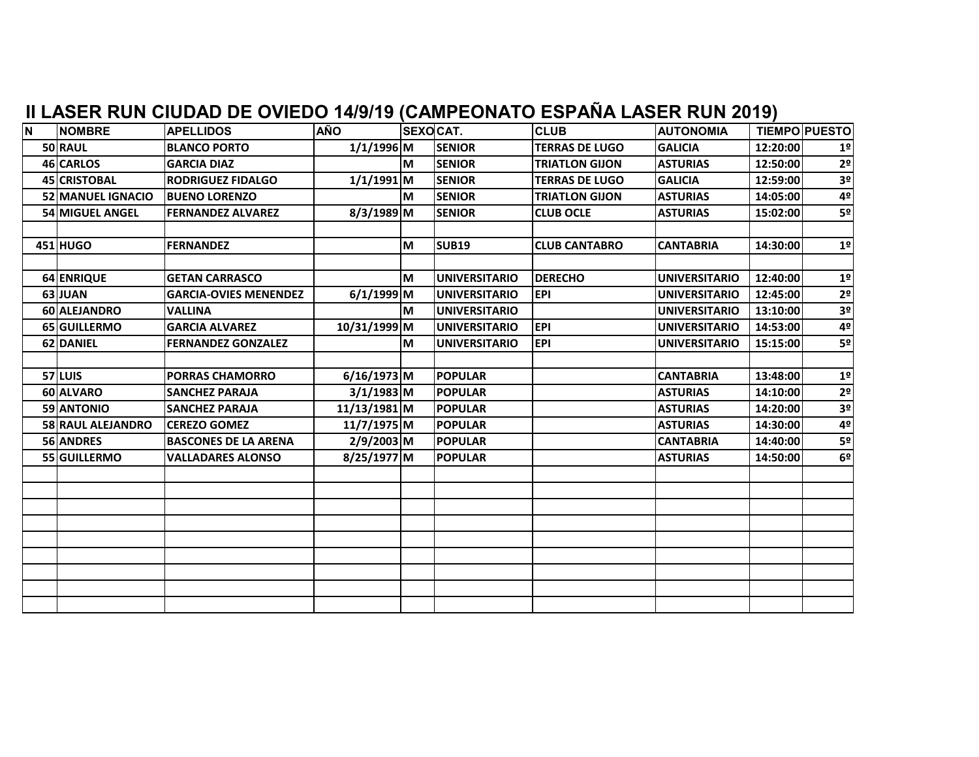| İΝ. | <b>NOMBRE</b>       | <b>APELLIDOS</b>             | <b>AÑO</b>    | <b>SEXOCAT.</b> |                      | <b>CLUB</b>           | <b>AUTONOMIA</b>     |          | <b>TIEMPO PUESTO</b> |
|-----|---------------------|------------------------------|---------------|-----------------|----------------------|-----------------------|----------------------|----------|----------------------|
|     | 50 RAUL             | <b>BLANCO PORTO</b>          | $1/1/1996$ M  |                 | <b>SENIOR</b>        | <b>TERRAS DE LUGO</b> | <b>GALICIA</b>       | 12:20:00 | 1 <sup>°</sup>       |
|     | 46 CARLOS           | <b>GARCIA DIAZ</b>           |               | M               | <b>SENIOR</b>        | <b>TRIATLON GIJON</b> | <b>ASTURIAS</b>      | 12:50:00 | 2 <sup>o</sup>       |
|     | <b>45 CRISTOBAL</b> | <b>RODRIGUEZ FIDALGO</b>     | $1/1/1991$ M  |                 | <b>SENIOR</b>        | <b>TERRAS DE LUGO</b> | <b>GALICIA</b>       | 12:59:00 | 3 <sup>o</sup>       |
|     | 52 MANUEL IGNACIO   | <b>BUENO LORENZO</b>         |               | lм              | <b>SENIOR</b>        | <b>TRIATLON GIJON</b> | <b>ASTURIAS</b>      | 14:05:00 | 4º                   |
|     | 54 MIGUEL ANGEL     | <b>FERNANDEZ ALVAREZ</b>     | $8/3/1989$ M  |                 | <b>SENIOR</b>        | <b>CLUB OCLE</b>      | <b>ASTURIAS</b>      | 15:02:00 | 5 <sup>o</sup>       |
|     |                     |                              |               |                 |                      |                       |                      |          |                      |
|     | 451 HUGO            | <b>FERNANDEZ</b>             |               | M               | <b>SUB19</b>         | <b>CLUB CANTABRO</b>  | <b>CANTABRIA</b>     | 14:30:00 | 1 <sup>°</sup>       |
|     |                     |                              |               |                 |                      |                       |                      |          |                      |
|     | 64 ENRIQUE          | <b>GETAN CARRASCO</b>        |               | M               | <b>UNIVERSITARIO</b> | <b>DERECHO</b>        | <b>UNIVERSITARIO</b> | 12:40:00 | 1 <sup>o</sup>       |
|     | 63 JUAN             | <b>GARCIA-OVIES MENENDEZ</b> | $6/1/1999$ M  |                 | <b>UNIVERSITARIO</b> | <b>EPI</b>            | <b>UNIVERSITARIO</b> | 12:45:00 | 2 <sup>o</sup>       |
|     | 60 ALEJANDRO        | <b>VALLINA</b>               |               | M               | <b>UNIVERSITARIO</b> |                       | <b>UNIVERSITARIO</b> | 13:10:00 | 3 <sup>o</sup>       |
|     | 65 GUILLERMO        | <b>GARCIA ALVAREZ</b>        | 10/31/1999 M  |                 | <b>UNIVERSITARIO</b> | <b>EPI</b>            | <b>UNIVERSITARIO</b> | 14:53:00 | 4º                   |
|     | 62 DANIEL           | <b>FERNANDEZ GONZALEZ</b>    |               | M               | <b>UNIVERSITARIO</b> | <b>EPI</b>            | <b>UNIVERSITARIO</b> | 15:15:00 | 5º                   |
|     |                     |                              |               |                 |                      |                       |                      |          |                      |
|     | 57 LUIS             | <b>PORRAS CHAMORRO</b>       | $6/16/1973$ M |                 | <b>POPULAR</b>       |                       | <b>CANTABRIA</b>     | 13:48:00 | 1 <sup>o</sup>       |
|     | 60 ALVARO           | <b>SANCHEZ PARAJA</b>        | $3/1/1983$ M  |                 | <b>POPULAR</b>       |                       | <b>ASTURIAS</b>      | 14:10:00 | 2 <sup>o</sup>       |
|     | 59 ANTONIO          | <b>SANCHEZ PARAJA</b>        | 11/13/1981 M  |                 | <b>POPULAR</b>       |                       | <b>ASTURIAS</b>      | 14:20:00 | 3 <sup>o</sup>       |
|     | 58 RAUL ALEJANDRO   | <b>CEREZO GOMEZ</b>          | 11/7/1975 M   |                 | <b>POPULAR</b>       |                       | <b>ASTURIAS</b>      | 14:30:00 | 4º                   |
|     | 56 ANDRES           | <b>BASCONES DE LA ARENA</b>  | 2/9/2003 M    |                 | <b>POPULAR</b>       |                       | <b>CANTABRIA</b>     | 14:40:00 | 5º                   |
|     | 55 GUILLERMO        | <b>VALLADARES ALONSO</b>     | 8/25/1977 M   |                 | <b>POPULAR</b>       |                       | <b>ASTURIAS</b>      | 14:50:00 | 6 <sup>o</sup>       |
|     |                     |                              |               |                 |                      |                       |                      |          |                      |
|     |                     |                              |               |                 |                      |                       |                      |          |                      |
|     |                     |                              |               |                 |                      |                       |                      |          |                      |
|     |                     |                              |               |                 |                      |                       |                      |          |                      |
|     |                     |                              |               |                 |                      |                       |                      |          |                      |
|     |                     |                              |               |                 |                      |                       |                      |          |                      |
|     |                     |                              |               |                 |                      |                       |                      |          |                      |
|     |                     |                              |               |                 |                      |                       |                      |          |                      |
|     |                     |                              |               |                 |                      |                       |                      |          |                      |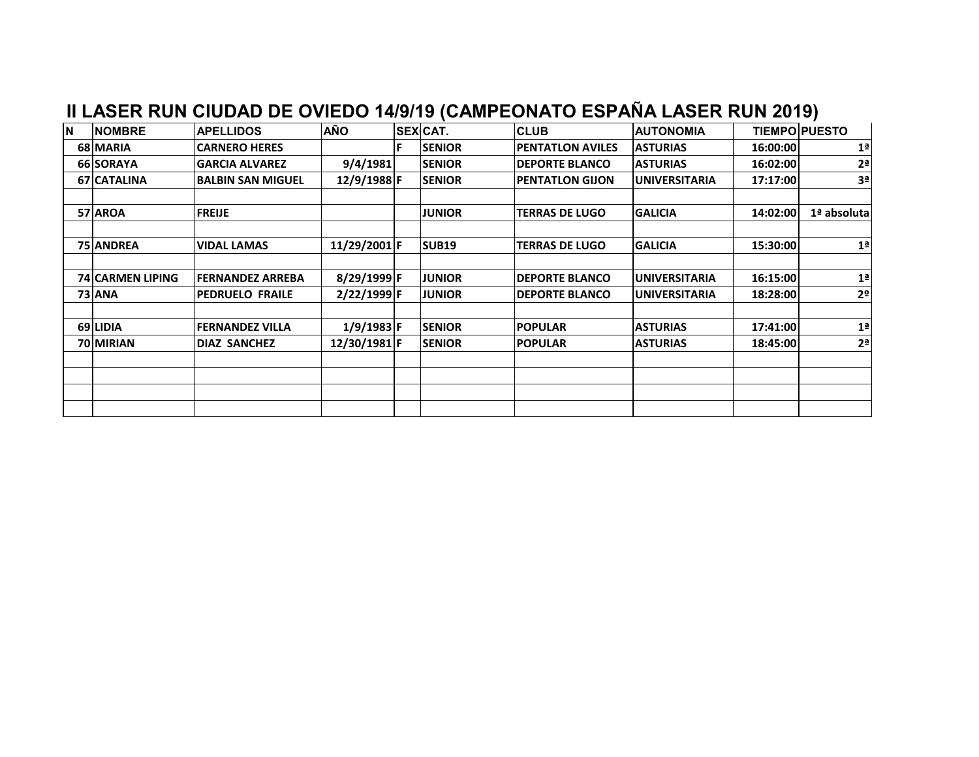| <b>N</b> | <b>NOMBRE</b>           | <b>APELLIDOS</b>         | AÑO          | SEXCAT.       | <b>CLUB</b>             | <b>AUTONOMIA</b>      |          | <b>TIEMPO PUESTO</b> |
|----------|-------------------------|--------------------------|--------------|---------------|-------------------------|-----------------------|----------|----------------------|
|          | 68 MARIA                | <b>ICARNERO HERES</b>    |              | <b>SENIOR</b> | <b>PENTATLON AVILES</b> | <b>ASTURIAS</b>       | 16:00:00 | 1 <sup>a</sup>       |
|          | 66 SORAYA               | <b>lGARCIA ALVAREZ</b>   | 9/4/1981     | <b>SENIOR</b> | <b>DEPORTE BLANCO</b>   | <b>ASTURIAS</b>       | 16:02:00 | 2 <sup>a</sup>       |
|          | 67 CATALINA             | <b>BALBIN SAN MIGUEL</b> | 12/9/1988 F  | <b>SENIOR</b> | <b>PENTATLON GIJON</b>  | <b>IUNIVERSITARIA</b> | 17:17:00 | 3 <sup>a</sup>       |
|          |                         |                          |              |               |                         |                       |          |                      |
|          | 57 AROA                 | <b>FREIJE</b>            |              | <b>JUNIOR</b> | <b>TERRAS DE LUGO</b>   | <b>GALICIA</b>        | 14:02:00 | 1ª absolutal         |
|          |                         |                          |              |               |                         |                       |          |                      |
|          | <b>75 ANDREA</b>        | <b>VIDAL LAMAS</b>       | 11/29/2001 F | <b>SUB19</b>  | <b>TERRAS DE LUGO</b>   | <b>GALICIA</b>        | 15:30:00 | 1 <sup>a</sup>       |
|          |                         |                          |              |               |                         |                       |          |                      |
|          | <b>74 CARMEN LIPING</b> | <b>FERNANDEZ ARREBA</b>  | 8/29/1999 F  | <b>JUNIOR</b> | <b>DEPORTE BLANCO</b>   | <b>UNIVERSITARIA</b>  | 16:15:00 | 1 <sup>a</sup>       |
|          | 73 ANA                  | <b>IPEDRUELO FRAILE</b>  | 2/22/1999 F  | <b>JUNIOR</b> | <b>DEPORTE BLANCO</b>   | IUNIVERSITARIA        | 18:28:00 | 2 <sup>o</sup>       |
|          |                         |                          |              |               |                         |                       |          |                      |
|          | 69 LIDIA                | <b>IFERNANDEZ VILLA</b>  | $1/9/1983$ F | <b>SENIOR</b> | <b>POPULAR</b>          | <b>ASTURIAS</b>       | 17:41:00 | 1 <sup>a</sup>       |
|          | 70 MIRIAN               | <b>DIAZ SANCHEZ</b>      | 12/30/1981 F | <b>SENIOR</b> | <b>POPULAR</b>          | <b>ASTURIAS</b>       | 18:45:00 | 2 <sup>a</sup>       |
|          |                         |                          |              |               |                         |                       |          |                      |
|          |                         |                          |              |               |                         |                       |          |                      |
|          |                         |                          |              |               |                         |                       |          |                      |
|          |                         |                          |              |               |                         |                       |          |                      |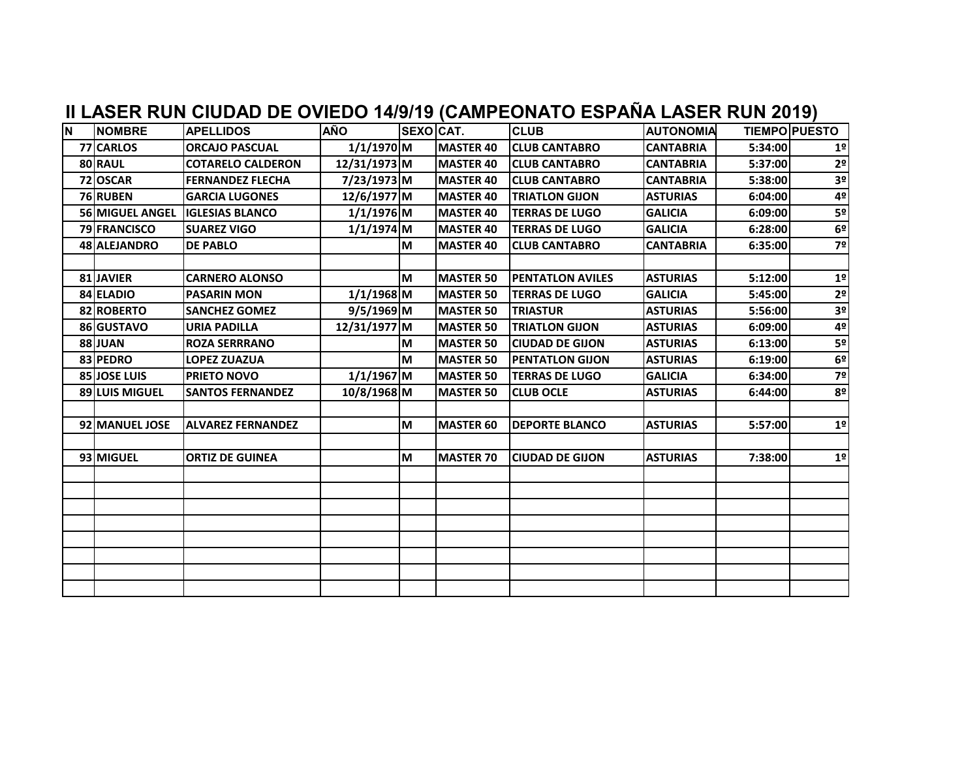| <b>N</b> | <b>NOMBRE</b>          | <b>APELLIDOS</b>         | <b>AÑO</b>   | SEXOCAT. |                  | <b>CLUB</b>              | <b>AUTONOMIA</b> |         | <b>TIEMPO PUESTO</b> |
|----------|------------------------|--------------------------|--------------|----------|------------------|--------------------------|------------------|---------|----------------------|
|          | 77 CARLOS              | <b>ORCAJO PASCUAL</b>    | $1/1/1970$ M |          | MASTER 40        | <b>CLUB CANTABRO</b>     | <b>CANTABRIA</b> | 5:34:00 | 1 <sup>o</sup>       |
|          | 80 RAUL                | <b>COTARELO CALDERON</b> | 12/31/1973 M |          | <b>MASTER 40</b> | <b>CLUB CANTABRO</b>     | <b>CANTABRIA</b> | 5:37:00 | 2 <sup>o</sup>       |
|          | 72 OSCAR               | <b>FERNANDEZ FLECHA</b>  | 7/23/1973 M  |          | <b>MASTER 40</b> | <b>ICLUB CANTABRO</b>    | <b>CANTABRIA</b> | 5:38:00 | 3 <sup>o</sup>       |
|          | 76 RUBEN               | <b>GARCIA LUGONES</b>    | 12/6/1977 M  |          | <b>MASTER 40</b> | <b>TRIATLON GIJON</b>    | <b>ASTURIAS</b>  | 6:04:00 | 4º                   |
|          | <b>56 MIGUEL ANGEL</b> | <b>IGLESIAS BLANCO</b>   | $1/1/1976$ M |          | <b>MASTER 40</b> | <b>TERRAS DE LUGO</b>    | <b>GALICIA</b>   | 6:09:00 | 5º                   |
|          | <b>79 FRANCISCO</b>    | <b>SUAREZ VIGO</b>       | $1/1/1974$ M |          | <b>MASTER 40</b> | <b>TERRAS DE LUGO</b>    | <b>GALICIA</b>   | 6:28:00 | 6 <sup>°</sup>       |
|          | 48 ALEJANDRO           | <b>DE PABLO</b>          |              | M        | <b>MASTER 40</b> | <b>CLUB CANTABRO</b>     | <b>CANTABRIA</b> | 6:35:00 | 7º                   |
|          |                        |                          |              |          |                  |                          |                  |         |                      |
|          | 81 JAVIER              | <b>CARNERO ALONSO</b>    |              | M        | <b>MASTER 50</b> | <b>IPENTATLON AVILES</b> | <b>ASTURIAS</b>  | 5:12:00 | 1 <sup>°</sup>       |
|          | 84 ELADIO              | <b>PASARIN MON</b>       | $1/1/1968$ M |          | <b>MASTER 50</b> | <b>TERRAS DE LUGO</b>    | <b>GALICIA</b>   | 5:45:00 | 2 <sup>o</sup>       |
|          | 82 ROBERTO             | <b>SANCHEZ GOMEZ</b>     | $9/5/1969$ M |          | <b>MASTER 50</b> | <b>TRIASTUR</b>          | <b>ASTURIAS</b>  | 5:56:00 | 3 <sup>o</sup>       |
|          | 86 GUSTAVO             | <b>URIA PADILLA</b>      | 12/31/1977 M |          | <b>MASTER 50</b> | <b>TRIATLON GIJON</b>    | <b>ASTURIAS</b>  | 6:09:00 | 4º                   |
|          | <b>88 JUAN</b>         | <b>ROZA SERRRANO</b>     |              | M        | <b>MASTER 50</b> | <b>CIUDAD DE GIJON</b>   | <b>ASTURIAS</b>  | 6:13:00 | 5º                   |
|          | 83 PEDRO               | <b>LOPEZ ZUAZUA</b>      |              | M        | <b>MASTER 50</b> | <b>PENTATLON GIJON</b>   | <b>ASTURIAS</b>  | 6:19:00 | 6º                   |
|          | 85 JOSE LUIS           | <b>PRIETO NOVO</b>       | $1/1/1967$ M |          | <b>MASTER 50</b> | <b>TERRAS DE LUGO</b>    | <b>GALICIA</b>   | 6:34:00 | 7º                   |
|          | <b>89 LUIS MIGUEL</b>  | <b>SANTOS FERNANDEZ</b>  | 10/8/1968 M  |          | <b>MASTER 50</b> | <b>CLUB OCLE</b>         | <b>ASTURIAS</b>  | 6:44:00 | 8º                   |
|          |                        |                          |              |          |                  |                          |                  |         |                      |
|          | 92 MANUEL JOSE         | <b>ALVAREZ FERNANDEZ</b> |              | M        | <b>MASTER 60</b> | <b>DEPORTE BLANCO</b>    | <b>ASTURIAS</b>  | 5:57:00 | 1 <sup>°</sup>       |
|          |                        |                          |              |          |                  |                          |                  |         |                      |
|          | 93 MIGUEL              | <b>ORTIZ DE GUINEA</b>   |              | M        | <b>MASTER 70</b> | <b>CIUDAD DE GIJON</b>   | <b>ASTURIAS</b>  | 7:38:00 | 1 <sup>°</sup>       |
|          |                        |                          |              |          |                  |                          |                  |         |                      |
|          |                        |                          |              |          |                  |                          |                  |         |                      |
|          |                        |                          |              |          |                  |                          |                  |         |                      |
|          |                        |                          |              |          |                  |                          |                  |         |                      |
|          |                        |                          |              |          |                  |                          |                  |         |                      |
|          |                        |                          |              |          |                  |                          |                  |         |                      |
|          |                        |                          |              |          |                  |                          |                  |         |                      |
|          |                        |                          |              |          |                  |                          |                  |         |                      |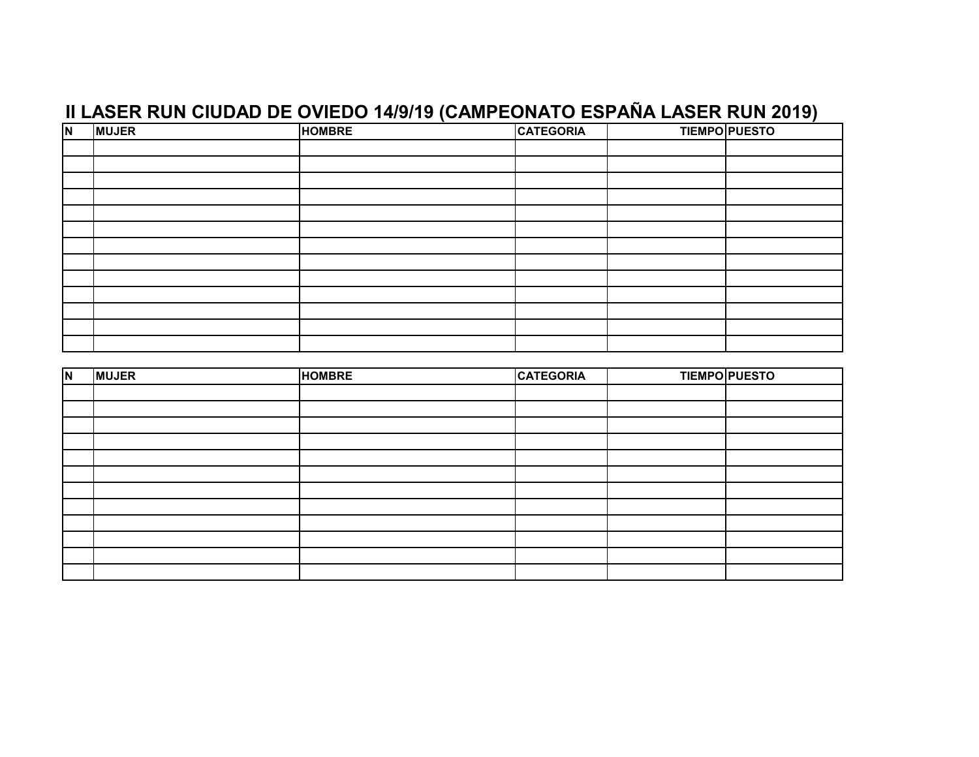|              |               |                  | <b>TIEMPO PUESTO</b> |
|--------------|---------------|------------------|----------------------|
|              |               |                  |                      |
|              |               |                  |                      |
|              |               |                  |                      |
|              |               |                  |                      |
|              |               |                  |                      |
|              |               |                  |                      |
|              |               |                  |                      |
|              |               |                  |                      |
|              |               |                  |                      |
|              |               |                  |                      |
|              |               |                  |                      |
|              |               |                  |                      |
|              |               |                  |                      |
| <b>MUJER</b> | <b>HOMBRE</b> | <b>CATEGORIA</b> |                      |

| $\overline{\mathsf{N}}$ | <b>MUJER</b> | <b>HOMBRE</b> | <b>CATEGORIA</b> | <b>TIEMPO PUESTO</b> |
|-------------------------|--------------|---------------|------------------|----------------------|
|                         |              |               |                  |                      |
|                         |              |               |                  |                      |
|                         |              |               |                  |                      |
|                         |              |               |                  |                      |
|                         |              |               |                  |                      |
|                         |              |               |                  |                      |
|                         |              |               |                  |                      |
|                         |              |               |                  |                      |
|                         |              |               |                  |                      |
|                         |              |               |                  |                      |
|                         |              |               |                  |                      |
|                         |              |               |                  |                      |